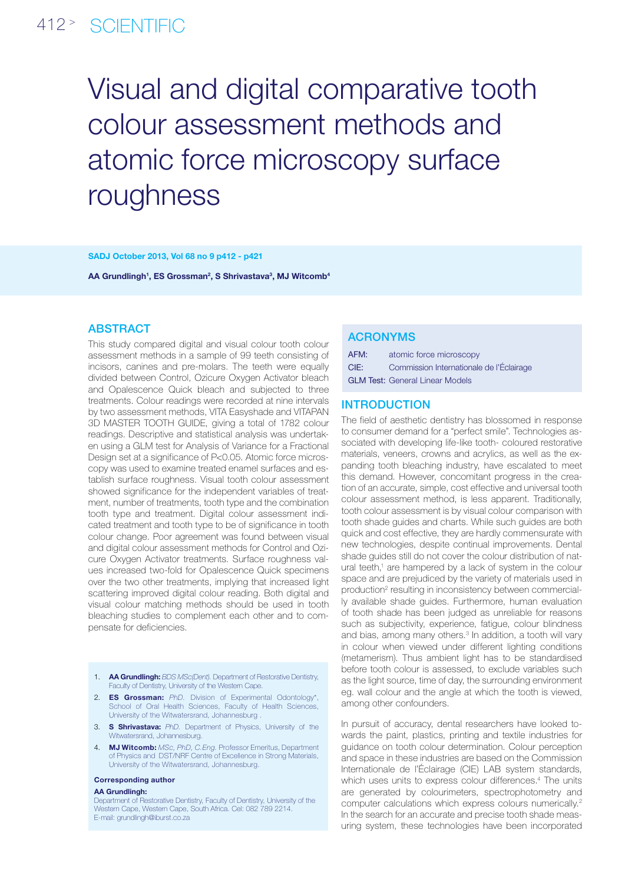# 412 <sup>&</sup>gt; SCIENTIFIC

# Visual and digital comparative tooth colour assessment methods and atomic force microscopy surface roughness

#### SADJ October 2013, Vol 68 no 9 p412 - p421

AA Grundlingh<sup>1</sup>, ES Grossman<sup>2</sup>, S Shrivastava<sup>3</sup>, MJ Witcomb<sup>4</sup>

## **ABSTRACT**

This study compared digital and visual colour tooth colour assessment methods in a sample of 99 teeth consisting of incisors, canines and pre-molars. The teeth were equally divided between Control, Ozicure Oxygen Activator bleach and Opalescence Quick bleach and subjected to three treatments. Colour readings were recorded at nine intervals by two assessment methods, VITA Easyshade and VITAPAN 3D MASTER TOOTH GUIDE, giving a total of 1782 colour readings. Descriptive and statistical analysis was undertaken using a GLM test for Analysis of Variance for a Fractional Design set at a significance of P<0.05. Atomic force microscopy was used to examine treated enamel surfaces and establish surface roughness. Visual tooth colour assessment showed significance for the independent variables of treatment, number of treatments, tooth type and the combination tooth type and treatment. Digital colour assessment indicated treatment and tooth type to be of significance in tooth colour change. Poor agreement was found between visual and digital colour assessment methods for Control and Ozicure Oxygen Activator treatments. Surface roughness values increased two-fold for Opalescence Quick specimens over the two other treatments, implying that increased light scattering improved digital colour reading. Both digital and visual colour matching methods should be used in tooth bleaching studies to complement each other and to compensate for deficiencies.

- 1. AA Grundlingh: *BDS MSc(Dent).* Department of Restorative Dentistry, Faculty of Dentistry, University of the Western Cape.
- 2. ES Grossman: *PhD.* Division of Experimental Odontology\*, School of Oral Health Sciences, Faculty of Health Sciences, University of the Witwatersrand, Johannesburg .
- 3. S Shrivastava: *PhD.* Department of Physics, University of the Witwatersrand, Johannesburg.
- 4. MJ Witcomb: *MSc, PhD, C.Eng.* Professor Emeritus, Department of Physics and DST/NRF Centre of Excellence in Strong Materials, University of the Witwatersrand, Johannesburg.

#### Corresponding author

#### AA Grundlingh:

Department of Restorative Dentistry, Faculty of Dentistry, University of the Western Cape, Western Cape, South Africa. Cel: 082 789 2214. E-mail: grundlingh@iburst.co.za

### ACRONYMS

| AFM: | atomic force microscopy                  |
|------|------------------------------------------|
| CIE: | Commission Internationale de l'Éclairage |
|      | <b>GLM Test: General Linear Models</b>   |

#### **INTRODUCTION**

The field of aesthetic dentistry has blossomed in response to consumer demand for a "perfect smile". Technologies associated with developing life-like tooth- coloured restorative materials, veneers, crowns and acrylics, as well as the expanding tooth bleaching industry, have escalated to meet this demand. However, concomitant progress in the creation of an accurate, simple, cost effective and universal tooth colour assessment method, is less apparent. Traditionally, tooth colour assessment is by visual colour comparison with tooth shade guides and charts. While such guides are both quick and cost effective, they are hardly commensurate with new technologies, despite continual improvements. Dental shade guides still do not cover the colour distribution of natural teeth,<sup>1</sup> are hampered by a lack of system in the colour space and are prejudiced by the variety of materials used in production<sup>2</sup> resulting in inconsistency between commercially available shade guides. Furthermore, human evaluation of tooth shade has been judged as unreliable for reasons such as subjectivity, experience, fatigue, colour blindness and bias, among many others.<sup>3</sup> In addition, a tooth will vary in colour when viewed under different lighting conditions (metamerism). Thus ambient light has to be standardised before tooth colour is assessed, to exclude variables such as the light source, time of day, the surrounding environment eg. wall colour and the angle at which the tooth is viewed, among other confounders.

In pursuit of accuracy, dental researchers have looked towards the paint, plastics, printing and textile industries for guidance on tooth colour determination. Colour perception and space in these industries are based on the Commission Internationale de l'Éclairage (CIE) LAB system standards, which uses units to express colour differences.<sup>4</sup> The units are generated by colourimeters, spectrophotometry and computer calculations which express colours numerically.2 In the search for an accurate and precise tooth shade measuring system, these technologies have been incorporated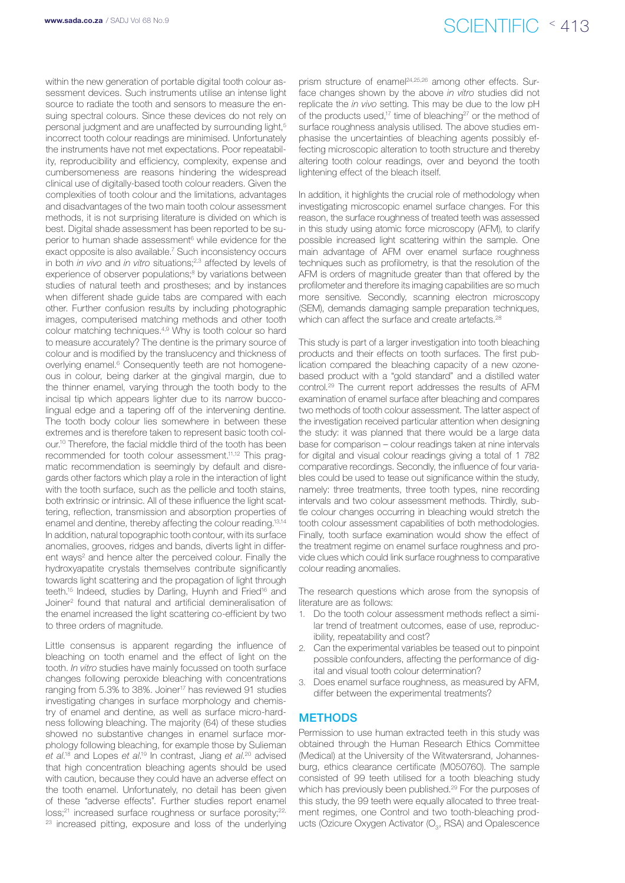# www.sada.co.za / SADJ Vol 68 No.9  $\text{SCIENTIFIC} \leq 413$

within the new generation of portable digital tooth colour assessment devices. Such instruments utilise an intense light source to radiate the tooth and sensors to measure the ensuing spectral colours. Since these devices do not rely on personal judgment and are unaffected by surrounding light,<sup>5</sup> incorrect tooth colour readings are minimised. Unfortunately the instruments have not met expectations. Poor repeatability, reproducibility and efficiency, complexity, expense and cumbersomeness are reasons hindering the widespread clinical use of digitally-based tooth colour readers. Given the complexities of tooth colour and the limitations, advantages and disadvantages of the two main tooth colour assessment methods, it is not surprising literature is divided on which is best. Digital shade assessment has been reported to be superior to human shade assessment<sup>6</sup> while evidence for the exact opposite is also available.<sup>7</sup> Such inconsistency occurs in both *in vivo* and *in vitro* situations;<sup>2,3</sup> affected by levels of experience of observer populations;<sup>8</sup> by variations between studies of natural teeth and prostheses; and by instances when different shade guide tabs are compared with each other. Further confusion results by including photographic images, computerised matching methods and other tooth colour matching techniques.4,9 Why is tooth colour so hard to measure accurately? The dentine is the primary source of colour and is modified by the translucency and thickness of overlying enamel.<sup>6</sup> Consequently teeth are not homogeneous in colour, being darker at the gingival margin, due to the thinner enamel, varying through the tooth body to the incisal tip which appears lighter due to its narrow buccolingual edge and a tapering off of the intervening dentine. The tooth body colour lies somewhere in between these extremes and is therefore taken to represent basic tooth colour.10 Therefore, the facial middle third of the tooth has been recommended for tooth colour assessment.11,12 This pragmatic recommendation is seemingly by default and disregards other factors which play a role in the interaction of light with the tooth surface, such as the pellicle and tooth stains. both extrinsic or intrinsic. All of these influence the light scattering, reflection, transmission and absorption properties of enamel and dentine, thereby affecting the colour reading.13,14 In addition, natural topographic tooth contour, with its surface anomalies, grooves, ridges and bands, diverts light in different ways<sup>2</sup> and hence alter the perceived colour. Finally the hydroxyapatite crystals themselves contribute significantly towards light scattering and the propagation of light through teeth.<sup>15</sup> Indeed, studies by Darling, Huynh and Fried<sup>16</sup> and Joiner2 found that natural and artificial demineralisation of the enamel increased the light scattering co-efficient by two to three orders of magnitude.

Little consensus is apparent regarding the influence of bleaching on tooth enamel and the effect of light on the tooth. *In vitro* studies have mainly focussed on tooth surface changes following peroxide bleaching with concentrations ranging from 5.3% to 38%. Joiner<sup>17</sup> has reviewed 91 studies investigating changes in surface morphology and chemistry of enamel and dentine, as well as surface micro-hardness following bleaching. The majority (64) of these studies showed no substantive changes in enamel surface morphology following bleaching, for example those by Sulieman *et al*. 18 and Lopes *et al*. 19 In contrast, Jiang *et al*. 20 advised that high concentration bleaching agents should be used with caution, because they could have an adverse effect on the tooth enamel. Unfortunately, no detail has been given of these "adverse effects". Further studies report enamel loss;<sup>21</sup> increased surface roughness or surface porosity;<sup>22,</sup> <sup>23</sup> increased pitting, exposure and loss of the underlying

prism structure of enamel<sup>24,25,26</sup> among other effects. Surface changes shown by the above *in vitro* studies did not replicate the *in vivo* setting. This may be due to the low pH of the products used.<sup>17</sup> time of bleaching<sup>27</sup> or the method of surface roughness analysis utilised. The above studies emphasise the uncertainties of bleaching agents possibly effecting microscopic alteration to tooth structure and thereby altering tooth colour readings, over and beyond the tooth lightening effect of the bleach itself.

In addition, it highlights the crucial role of methodology when investigating microscopic enamel surface changes. For this reason, the surface roughness of treated teeth was assessed in this study using atomic force microscopy (AFM), to clarify possible increased light scattering within the sample. One main advantage of AFM over enamel surface roughness techniques such as profilometry, is that the resolution of the AFM is orders of magnitude greater than that offered by the profilometer and therefore its imaging capabilities are so much more sensitive. Secondly, scanning electron microscopy (SEM), demands damaging sample preparation techniques, which can affect the surface and create artefacts.<sup>28</sup>

This study is part of a larger investigation into tooth bleaching products and their effects on tooth surfaces. The first publication compared the bleaching capacity of a new ozonebased product with a "gold standard" and a distilled water control.29 The current report addresses the results of AFM examination of enamel surface after bleaching and compares two methods of tooth colour assessment. The latter aspect of the investigation received particular attention when designing the study: it was planned that there would be a large data base for comparison – colour readings taken at nine intervals for digital and visual colour readings giving a total of 1 782 comparative recordings. Secondly, the influence of four variables could be used to tease out significance within the study, namely: three treatments, three tooth types, nine recording intervals and two colour assessment methods. Thirdly, subtle colour changes occurring in bleaching would stretch the tooth colour assessment capabilities of both methodologies. Finally, tooth surface examination would show the effect of the treatment regime on enamel surface roughness and provide clues which could link surface roughness to comparative colour reading anomalies.

The research questions which arose from the synopsis of literature are as follows:

- 1. Do the tooth colour assessment methods reflect a similar trend of treatment outcomes, ease of use, reproducibility, repeatability and cost?
- 2. Can the experimental variables be teased out to pinpoint possible confounders, affecting the performance of digital and visual tooth colour determination?
- Does enamel surface roughness, as measured by AFM, differ between the experimental treatments?

# **METHODS**

Permission to use human extracted teeth in this study was obtained through the Human Research Ethics Committee (Medical) at the University of the Witwatersrand, Johannesburg, ethics clearance certificate (M050760). The sample consisted of 99 teeth utilised for a tooth bleaching study which has previously been published.<sup>29</sup> For the purposes of this study, the 99 teeth were equally allocated to three treatment regimes, one Control and two tooth-bleaching products (Ozicure Oxygen Activator ( $O_3$ , RSA) and Opalescence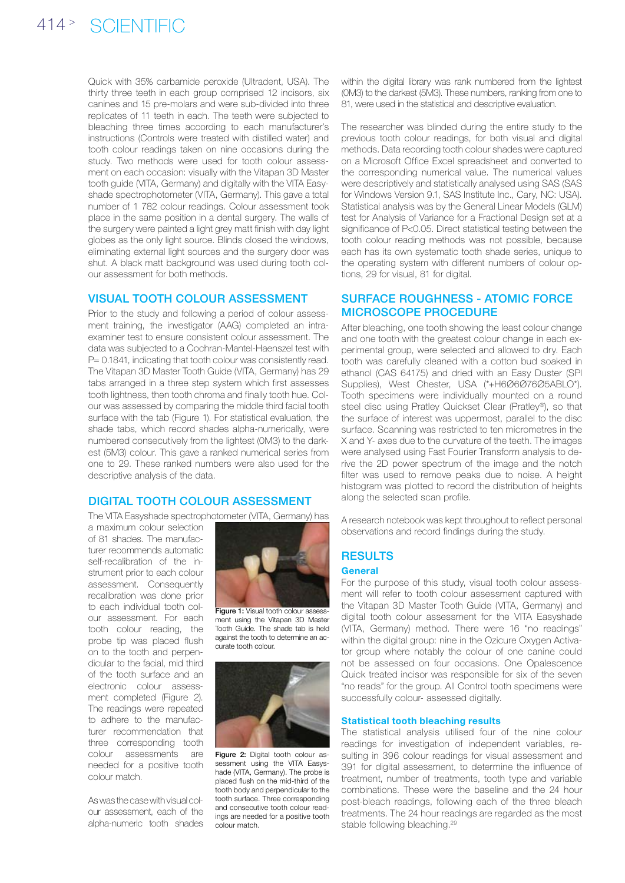Quick with 35% carbamide peroxide (Ultradent, USA). The thirty three teeth in each group comprised 12 incisors, six canines and 15 pre-molars and were sub-divided into three replicates of 11 teeth in each. The teeth were subjected to bleaching three times according to each manufacturer's instructions (Controls were treated with distilled water) and tooth colour readings taken on nine occasions during the study. Two methods were used for tooth colour assessment on each occasion: visually with the Vitapan 3D Master tooth guide (VITA, Germany) and digitally with the VITA Easyshade spectrophotometer (VITA, Germany). This gave a total number of 1 782 colour readings. Colour assessment took place in the same position in a dental surgery. The walls of the surgery were painted a light grey matt finish with day light globes as the only light source. Blinds closed the windows, eliminating external light sources and the surgery door was shut. A black matt background was used during tooth colour assessment for both methods.

### Visual tooth colour assessment

Prior to the study and following a period of colour assessment training, the investigator (AAG) completed an intraexaminer test to ensure consistent colour assessment. The data was subjected to a Cochran-Mantel-Haenszel test with P= 0.1841, indicating that tooth colour was consistently read. The Vitapan 3D Master Tooth Guide (VITA, Germany) has 29 tabs arranged in a three step system which first assesses tooth lightness, then tooth chroma and finally tooth hue. Colour was assessed by comparing the middle third facial tooth surface with the tab (Figure 1). For statistical evaluation, the shade tabs, which record shades alpha-numerically, were numbered consecutively from the lightest (0M3) to the darkest (5M3) colour. This gave a ranked numerical series from one to 29. These ranked numbers were also used for the descriptive analysis of the data.

### Digital tooth colour assessment

The VITA Easyshade spectrophotometer (VITA, Germany) has

a maximum colour selection of 81 shades. The manufacturer recommends automatic self-recalibration of the instrument prior to each colour assessment. Consequently recalibration was done prior to each individual tooth colour assessment. For each tooth colour reading, the probe tip was placed flush on to the tooth and perpendicular to the facial, mid third of the tooth surface and an electronic colour assessment completed (Figure 2). The readings were repeated to adhere to the manufacturer recommendation that three corresponding tooth colour assessments are needed for a positive tooth colour match.

As was the case with visual colour assessment, each of the alpha-numeric tooth shades



Figure 1: Visual tooth colour assessment using the Vitapan 3D Master Tooth Guide. The shade tab is held against the tooth to determine an accurate tooth colour.



Figure 2: Digital tooth colour assessment using the VITA Easyshade (VITA, Germany). The probe is placed flush on the mid-third of the tooth body and perpendicular to the tooth surface. Three corresponding and consecutive tooth colour readings are needed for a positive tooth colour match.

within the digital library was rank numbered from the lightest (0M3) to the darkest (5M3). These numbers, ranking from one to 81, were used in the statistical and descriptive evaluation.

The researcher was blinded during the entire study to the previous tooth colour readings, for both visual and digital methods. Data recording tooth colour shades were captured on a Microsoft Office Excel spreadsheet and converted to the corresponding numerical value. The numerical values were descriptively and statistically analysed using SAS (SAS for Windows Version 9.1, SAS Institute Inc., Cary, NC: USA). Statistical analysis was by the General Linear Models (GLM) test for Analysis of Variance for a Fractional Design set at a significance of P<0.05. Direct statistical testing between the tooth colour reading methods was not possible, because each has its own systematic tooth shade series, unique to the operating system with different numbers of colour options, 29 for visual, 81 for digital.

# Surface roughness - atomic force microscope procedure

After bleaching, one tooth showing the least colour change and one tooth with the greatest colour change in each experimental group, were selected and allowed to dry. Each tooth was carefully cleaned with a cotton bud soaked in ethanol (CAS 64175) and dried with an Easy Duster (SPI Supplies), West Chester, USA (\*+H6Ø6Ø76Ø5ABLO\*). Tooth specimens were individually mounted on a round steel disc using Pratley Quickset Clear (Pratley®), so that the surface of interest was uppermost, parallel to the disc surface. Scanning was restricted to ten micrometres in the X and Y- axes due to the curvature of the teeth. The images were analysed using Fast Fourier Transform analysis to derive the 2D power spectrum of the image and the notch filter was used to remove peaks due to noise. A height histogram was plotted to record the distribution of heights along the selected scan profile.

A research notebook was kept throughout to reflect personal observations and record findings during the study.

# **RESULTS**

#### **General**

For the purpose of this study, visual tooth colour assessment will refer to tooth colour assessment captured with the Vitapan 3D Master Tooth Guide (VITA, Germany) and digital tooth colour assessment for the VITA Easyshade (VITA, Germany) method. There were 16 "no readings" within the digital group: nine in the Ozicure Oxygen Activator group where notably the colour of one canine could not be assessed on four occasions. One Opalescence Quick treated incisor was responsible for six of the seven "no reads" for the group. All Control tooth specimens were successfully colour- assessed digitally.

#### Statistical tooth bleaching results

The statistical analysis utilised four of the nine colour readings for investigation of independent variables, resulting in 396 colour readings for visual assessment and 391 for digital assessment, to determine the influence of treatment, number of treatments, tooth type and variable combinations. These were the baseline and the 24 hour post-bleach readings, following each of the three bleach treatments. The 24 hour readings are regarded as the most stable following bleaching.<sup>29</sup>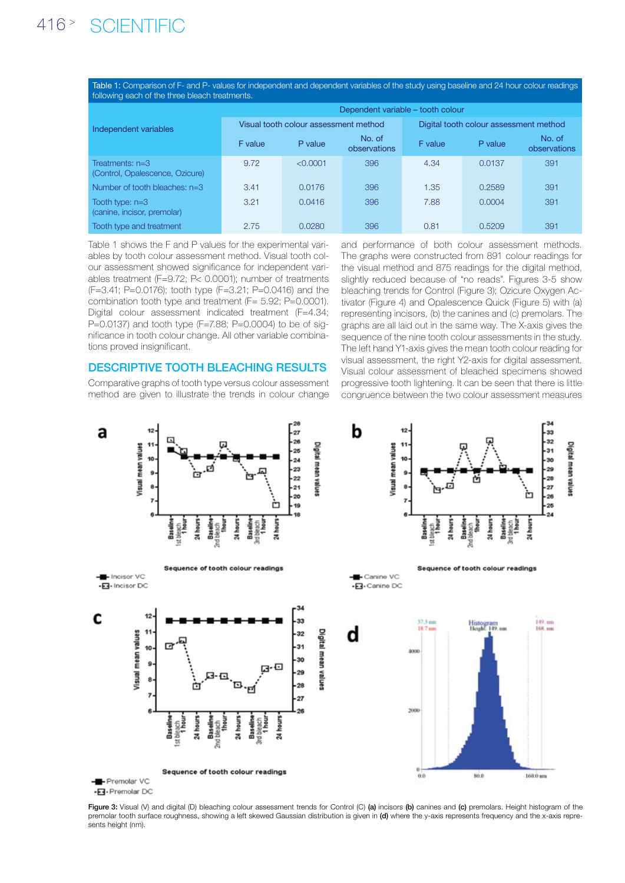Table 1: Comparison of F- and P- values for independent and dependent variables of the study using baseline and 24 hour colour readings following each of the three bleach treatments.

|                                                      | Dependent variable - tooth colour     |          |                        |                                        |         |                        |  |
|------------------------------------------------------|---------------------------------------|----------|------------------------|----------------------------------------|---------|------------------------|--|
| Independent variables                                | Visual tooth colour assessment method |          |                        | Digital tooth colour assessment method |         |                        |  |
|                                                      | F value                               | P value  | No. of<br>observations | F value                                | P value | No. of<br>observations |  |
| Treatments: $n=3$<br>(Control, Opalescence, Ozicure) | 9.72                                  | < 0.0001 | 396                    | 4.34                                   | 0.0137  | 391                    |  |
| Number of tooth bleaches: $n=3$                      | 3.41                                  | 0.0176   | 396                    | 1.35                                   | 0.2589  | 391                    |  |
| Tooth type: $n=3$<br>(canine, incisor, premolar)     | 3.21                                  | 0.0416   | 396                    | 7.88                                   | 0.0004  | 391                    |  |
| Tooth type and treatment                             | 2.75                                  | 0.0280   | 396                    | 0.81                                   | 0.5209  | 391                    |  |

Table 1 shows the F and P values for the experimental variables by tooth colour assessment method. Visual tooth colour assessment showed significance for independent variables treatment (F=9.72; P< 0.0001); number of treatments (F=3.41; P=0.0176); tooth type (F=3.21; P=0.0416) and the combination tooth type and treatment (F= 5.92; P=0.0001). Digital colour assessment indicated treatment (F=4.34; P=0.0137) and tooth type (F=7.88; P=0.0004) to be of significance in tooth colour change. All other variable combinations proved insignificant.

### Descriptive tooth bleaching results

Comparative graphs of tooth type versus colour assessment method are given to illustrate the trends in colour change

and performance of both colour assessment methods. The graphs were constructed from 891 colour readings for the visual method and 875 readings for the digital method, slightly reduced because of "no reads". Figures 3-5 show bleaching trends for Control (Figure 3); Ozicure Oxygen Activator (Figure 4) and Opalescence Quick (Figure 5) with (a) representing incisors, (b) the canines and (c) premolars. The graphs are all laid out in the same way. The X-axis gives the sequence of the nine tooth colour assessments in the study. The left hand Y1-axis gives the mean tooth colour reading for visual assessment, the right Y2-axis for digital assessment. Visual colour assessment of bleached specimens showed progressive tooth lightening. It can be seen that there is little congruence between the two colour assessment measures



Figure 3: Visual (V) and digital (D) bleaching colour assessment trends for Control (C) (a) incisors (b) canines and (c) premolars. Height histogram of the premolar tooth surface roughness, showing a left skewed Gaussian distribution is given in (d) where the y-axis represents frequency and the x-axis represents height (nm).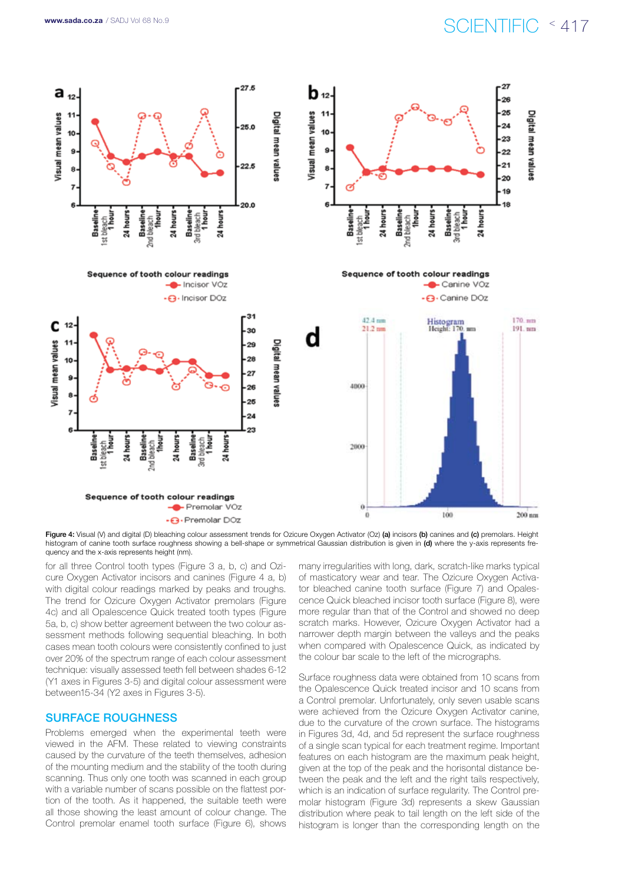# www.sada.co.za / SADJ Vol 68 No.9  $\text{SCIENTIFIC} \leq 417$



Figure 4: Visual (V) and digital (D) bleaching colour assessment trends for Ozicure Oxygen Activator (Oz) (a) incisors (b) canines and (c) premolars. Height histogram of canine tooth surface roughness showing a bell-shape or symmetrical Gaussian distribution is given in (d) where the y-axis represents frequency and the x-axis represents height (nm).

for all three Control tooth types (Figure 3 a, b, c) and Ozicure Oxygen Activator incisors and canines (Figure 4 a, b) with digital colour readings marked by peaks and troughs. The trend for Ozicure Oxygen Activator premolars (Figure 4c) and all Opalescence Quick treated tooth types (Figure 5a, b, c) show better agreement between the two colour assessment methods following sequential bleaching. In both cases mean tooth colours were consistently confined to just over 20% of the spectrum range of each colour assessment technique: visually assessed teeth fell between shades 6-12 (Y1 axes in Figures 3-5) and digital colour assessment were between15-34 (Y2 axes in Figures 3-5).

### Surface roughness

Problems emerged when the experimental teeth were viewed in the AFM. These related to viewing constraints caused by the curvature of the teeth themselves, adhesion of the mounting medium and the stability of the tooth during scanning. Thus only one tooth was scanned in each group with a variable number of scans possible on the flattest portion of the tooth. As it happened, the suitable teeth were all those showing the least amount of colour change. The Control premolar enamel tooth surface (Figure 6), shows

many irregularities with long, dark, scratch-like marks typical of masticatory wear and tear. The Ozicure Oxygen Activator bleached canine tooth surface (Figure 7) and Opalescence Quick bleached incisor tooth surface (Figure 8), were more regular than that of the Control and showed no deep scratch marks. However, Ozicure Oxygen Activator had a narrower depth margin between the valleys and the peaks when compared with Opalescence Quick, as indicated by the colour bar scale to the left of the micrographs.

Surface roughness data were obtained from 10 scans from the Opalescence Quick treated incisor and 10 scans from a Control premolar. Unfortunately, only seven usable scans were achieved from the Ozicure Oxygen Activator canine, due to the curvature of the crown surface. The histograms in Figures 3d, 4d, and 5d represent the surface roughness of a single scan typical for each treatment regime. Important features on each histogram are the maximum peak height, given at the top of the peak and the horisontal distance between the peak and the left and the right tails respectively, which is an indication of surface regularity. The Control premolar histogram (Figure 3d) represents a skew Gaussian distribution where peak to tail length on the left side of the histogram is longer than the corresponding length on the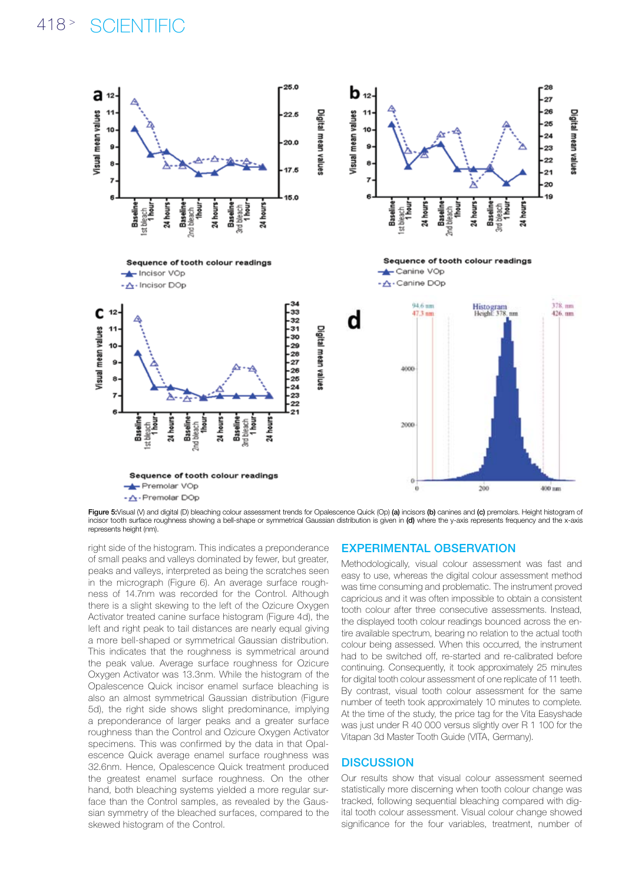# 418<sup>></sup> SCIENTIFIC



Figure 5:Visual (V) and digital (D) bleaching colour assessment trends for Opalescence Quick (Op) (a) incisors (b) canines and (c) premolars. Height histogram of incisor tooth surface roughness showing a bell-shape or symmetrical Gaussian distribution is given in (d) where the y-axis represents frequency and the x-axis represents height (nm).

right side of the histogram. This indicates a preponderance of small peaks and valleys dominated by fewer, but greater, peaks and valleys, interpreted as being the scratches seen in the micrograph (Figure 6). An average surface roughness of 14.7nm was recorded for the Control. Although there is a slight skewing to the left of the Ozicure Oxygen Activator treated canine surface histogram (Figure 4d), the left and right peak to tail distances are nearly equal giving a more bell-shaped or symmetrical Gaussian distribution. This indicates that the roughness is symmetrical around the peak value. Average surface roughness for Ozicure Oxygen Activator was 13.3nm. While the histogram of the Opalescence Quick incisor enamel surface bleaching is also an almost symmetrical Gaussian distribution (Figure 5d), the right side shows slight predominance, implying a preponderance of larger peaks and a greater surface roughness than the Control and Ozicure Oxygen Activator specimens. This was confirmed by the data in that Opalescence Quick average enamel surface roughness was 32.6nm. Hence, Opalescence Quick treatment produced the greatest enamel surface roughness. On the other hand, both bleaching systems yielded a more regular surface than the Control samples, as revealed by the Gaussian symmetry of the bleached surfaces, compared to the skewed histogram of the Control.

### Experimental observation

Methodologically, visual colour assessment was fast and easy to use, whereas the digital colour assessment method was time consuming and problematic. The instrument proved capricious and it was often impossible to obtain a consistent tooth colour after three consecutive assessments. Instead, the displayed tooth colour readings bounced across the entire available spectrum, bearing no relation to the actual tooth colour being assessed. When this occurred, the instrument had to be switched off, re-started and re-calibrated before continuing. Consequently, it took approximately 25 minutes for digital tooth colour assessment of one replicate of 11 teeth. By contrast, visual tooth colour assessment for the same number of teeth took approximately 10 minutes to complete. At the time of the study, the price tag for the Vita Easyshade was just under R 40 000 versus slightly over R 1 100 for the Vitapan 3d Master Tooth Guide (VITA, Germany).

# **DISCUSSION**

Our results show that visual colour assessment seemed statistically more discerning when tooth colour change was tracked, following sequential bleaching compared with digital tooth colour assessment. Visual colour change showed significance for the four variables, treatment, number of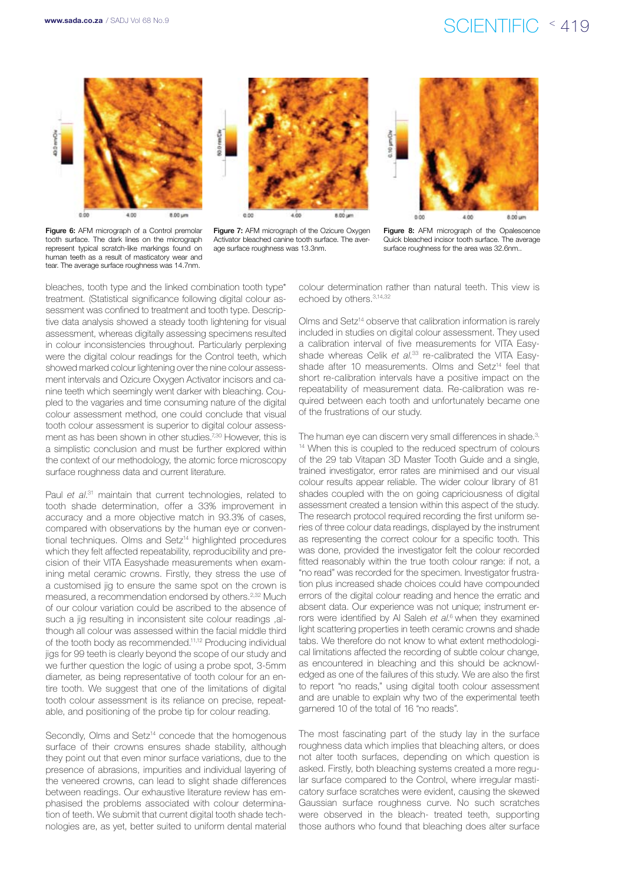# www.sada.co.za / SADJ Vol 68 No.9<br>
SCIENTIFIC < 419



Figure 6: AFM micrograph of a Control premolar tooth surface. The dark lines on the micrograph represent typical scratch-like markings found on human teeth as a result of masticatory wear and tear. The average surface roughness was 14.7nm.



Figure 7: AFM micrograph of the Ozicure Oxygen Activator bleached canine tooth surface. The average surface roughness was 13.3nm.



Figure 8: AFM micrograph of the Opalescence Quick bleached incisor tooth surface. The average surface roughness for the area was 32.6nm..

bleaches, tooth type and the linked combination tooth type\* treatment. (Statistical significance following digital colour assessment was confined to treatment and tooth type. Descriptive data analysis showed a steady tooth lightening for visual assessment, whereas digitally assessing specimens resulted in colour inconsistencies throughout. Particularly perplexing were the digital colour readings for the Control teeth, which showed marked colour lightening over the nine colour assessment intervals and Ozicure Oxygen Activator incisors and canine teeth which seemingly went darker with bleaching. Coupled to the vagaries and time consuming nature of the digital colour assessment method, one could conclude that visual tooth colour assessment is superior to digital colour assessment as has been shown in other studies.<sup>7,30</sup> However, this is a simplistic conclusion and must be further explored within the context of our methodology, the atomic force microscopy surface roughness data and current literature.

Paul *et al*. 31 maintain that current technologies, related to tooth shade determination, offer a 33% improvement in accuracy and a more objective match in 93.3% of cases, compared with observations by the human eye or conventional techniques. Olms and Setz<sup>14</sup> highlighted procedures which they felt affected repeatability, reproducibility and precision of their VITA Easyshade measurements when examining metal ceramic crowns. Firstly, they stress the use of a customised jig to ensure the same spot on the crown is measured, a recommendation endorsed by others.2,32 Much of our colour variation could be ascribed to the absence of such a jig resulting in inconsistent site colour readings ,although all colour was assessed within the facial middle third of the tooth body as recommended.11,12 Producing individual jigs for 99 teeth is clearly beyond the scope of our study and we further question the logic of using a probe spot, 3-5mm diameter, as being representative of tooth colour for an entire tooth. We suggest that one of the limitations of digital tooth colour assessment is its reliance on precise, repeatable, and positioning of the probe tip for colour reading.

Secondly, Olms and Setz<sup>14</sup> concede that the homogenous surface of their crowns ensures shade stability, although they point out that even minor surface variations, due to the presence of abrasions, impurities and individual layering of the veneered crowns, can lead to slight shade differences between readings. Our exhaustive literature review has emphasised the problems associated with colour determination of teeth. We submit that current digital tooth shade technologies are, as yet, better suited to uniform dental material

colour determination rather than natural teeth. This view is echoed by others.<sup>3,14,32</sup>

Olms and Setz<sup>14</sup> observe that calibration information is rarely included in studies on digital colour assessment. They used a calibration interval of five measurements for VITA Easyshade whereas Celik *et al*. 33 re-calibrated the VITA Easyshade after 10 measurements. Olms and Setz<sup>14</sup> feel that short re-calibration intervals have a positive impact on the repeatability of measurement data. Re-calibration was required between each tooth and unfortunately became one of the frustrations of our study.

The human eye can discern very small differences in shade.<sup>3,</sup> 14 When this is coupled to the reduced spectrum of colours of the 29 tab Vitapan 3D Master Tooth Guide and a single, trained investigator, error rates are minimised and our visual colour results appear reliable. The wider colour library of 81 shades coupled with the on going capriciousness of digital assessment created a tension within this aspect of the study. The research protocol required recording the first uniform series of three colour data readings, displayed by the instrument as representing the correct colour for a specific tooth. This was done, provided the investigator felt the colour recorded fitted reasonably within the true tooth colour range: if not, a "no read" was recorded for the specimen. Investigator frustration plus increased shade choices could have compounded errors of the digital colour reading and hence the erratic and absent data. Our experience was not unique; instrument errors were identified by Al Saleh *et al*. 6 when they examined light scattering properties in teeth ceramic crowns and shade tabs. We therefore do not know to what extent methodological limitations affected the recording of subtle colour change, as encountered in bleaching and this should be acknowledged as one of the failures of this study. We are also the first to report "no reads," using digital tooth colour assessment and are unable to explain why two of the experimental teeth garnered 10 of the total of 16 "no reads".

The most fascinating part of the study lay in the surface roughness data which implies that bleaching alters, or does not alter tooth surfaces, depending on which question is asked. Firstly, both bleaching systems created a more regular surface compared to the Control, where irregular masticatory surface scratches were evident, causing the skewed Gaussian surface roughness curve. No such scratches were observed in the bleach- treated teeth, supporting those authors who found that bleaching does alter surface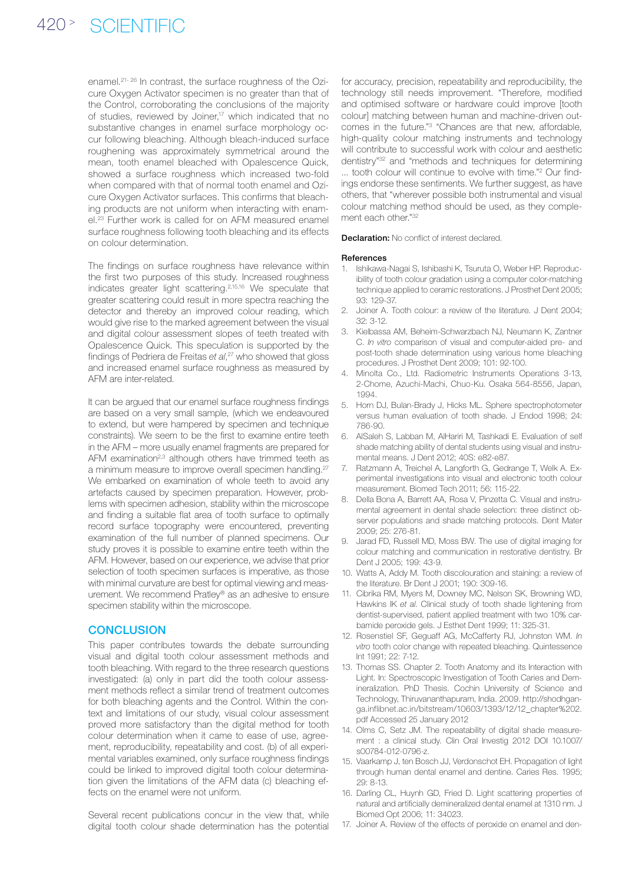enamel.<sup>21-26</sup> In contrast, the surface roughness of the Ozicure Oxygen Activator specimen is no greater than that of the Control, corroborating the conclusions of the majority of studies, reviewed by Joiner,<sup>17</sup> which indicated that no substantive changes in enamel surface morphology occur following bleaching. Although bleach-induced surface roughening was approximately symmetrical around the mean, tooth enamel bleached with Opalescence Quick, showed a surface roughness which increased two-fold when compared with that of normal tooth enamel and Ozicure Oxygen Activator surfaces. This confirms that bleaching products are not uniform when interacting with enamel.23 Further work is called for on AFM measured enamel surface roughness following tooth bleaching and its effects on colour determination.

The findings on surface roughness have relevance within the first two purposes of this study. Increased roughness indicates greater light scattering.2,15,16 We speculate that greater scattering could result in more spectra reaching the detector and thereby an improved colour reading, which would give rise to the marked agreement between the visual and digital colour assessment slopes of teeth treated with Opalescence Quick. This speculation is supported by the findings of Pedriera de Freitas *et al*, 27 who showed that gloss and increased enamel surface roughness as measured by AFM are inter-related.

It can be argued that our enamel surface roughness findings are based on a very small sample, (which we endeavoured to extend, but were hampered by specimen and technique constraints). We seem to be the first to examine entire teeth in the AFM – more usually enamel fragments are prepared for AFM examination<sup>2,3</sup> although others have trimmed teeth as a minimum measure to improve overall specimen handling.<sup>27</sup> We embarked on examination of whole teeth to avoid any artefacts caused by specimen preparation. However, problems with specimen adhesion, stability within the microscope and finding a suitable flat area of tooth surface to optimally record surface topography were encountered, preventing examination of the full number of planned specimens. Our study proves it is possible to examine entire teeth within the AFM. However, based on our experience, we advise that prior selection of tooth specimen surfaces is imperative, as those with minimal curvature are best for optimal viewing and measurement. We recommend Pratley® as an adhesive to ensure specimen stability within the microscope.

#### **CONCLUSION**

This paper contributes towards the debate surrounding visual and digital tooth colour assessment methods and tooth bleaching. With regard to the three research questions investigated: (a) only in part did the tooth colour assessment methods reflect a similar trend of treatment outcomes for both bleaching agents and the Control. Within the context and limitations of our study, visual colour assessment proved more satisfactory than the digital method for tooth colour determination when it came to ease of use, agreement, reproducibility, repeatability and cost. (b) of all experimental variables examined, only surface roughness findings could be linked to improved digital tooth colour determination given the limitations of the AFM data (c) bleaching effects on the enamel were not uniform.

Several recent publications concur in the view that, while digital tooth colour shade determination has the potential

for accuracy, precision, repeatability and reproducibility, the technology still needs improvement. "Therefore, modified and optimised software or hardware could improve [tooth colour] matching between human and machine-driven outcomes in the future."3 "Chances are that new, affordable, high-quality colour matching instruments and technology will contribute to successful work with colour and aesthetic dentistry"32 and "methods and techniques for determining ... tooth colour will continue to evolve with time."<sup>2</sup> Our findings endorse these sentiments. We further suggest, as have others, that "wherever possible both instrumental and visual colour matching method should be used, as they complement each other."32

**Declaration:** No conflict of interest declared.

#### References

- 1. Ishikawa-Nagai S, Ishibashi K, Tsuruta O, Weber HP. Reproducibility of tooth colour gradation using a computer color-matching technique applied to ceramic restorations. J Prosthet Dent 2005; 93: 129-37.
- 2. Joiner A. Tooth colour: a review of the literature. J Dent 2004;  $32:3-12$
- 3. Kielbassa AM, Beheim-Schwarzbach NJ, Neumann K, Zantner C. *In vitro* comparison of visual and computer-aided pre- and post-tooth shade determination using various home bleaching procedures. J Prosthet Dent 2009; 101: 92-100.
- 4. Minolta Co., Ltd. Radiometric Instruments Operations 3-13, 2-Chome, Azuchi-Machi, Chuo-Ku. Osaka 564-8556, Japan, 1994.
- 5. Horn DJ, Bulan-Brady J, Hicks ML. Sphere spectrophotometer versus human evaluation of tooth shade. J Endod 1998; 24: 786-90.
- 6. AlSaleh S, Labban M, AlHariri M, Tashkadi E. Evaluation of self shade matching ability of dental students using visual and instrumental means. J Dent 2012; 40S: e82-e87.
- 7. Ratzmann A, Treichel A, Langforth G, Gedrange T, Welk A. Experimental investigations into visual and electronic tooth colour measurement. Biomed Tech 2011; 56: 115-22.
- 8. Della Bona A, Barrett AA, Rosa V, Pinzetta C. Visual and instrumental agreement in dental shade selection: three distinct observer populations and shade matching protocols. Dent Mater 2009; 25: 276-81.
- 9. Jarad FD, Russell MD, Moss BW. The use of digital imaging for colour matching and communication in restorative dentistry. Br Dent J 2005; 199: 43-9.
- 10. Watts A, Addy M. Tooth discolouration and staining: a review of the literature. Br Dent J 2001; 190: 309-16.
- 11. Cibrika RM, Myers M, Downey MC, Nelson SK, Browning WD, Hawkins IK *et al*. Clinical study of tooth shade lightening from dentist-supervised, patient applied treatment with two 10% carbamide peroxide gels. J Esthet Dent 1999; 11: 325-31.
- 12. Rosenstiel SF, Geguaff AG, McCafferty RJ, Johnston WM. *In vitro* tooth color change with repeated bleaching. Quintessence Int 1991; 22: 7-12.
- 13. Thomas SS. Chapter 2. Tooth Anatomy and its Interaction with Light. In: Spectroscopic Investigation of Tooth Caries and Demineralization. PhD Thesis. Cochin University of Science and Technology, Thiruvananthapuram, India. 2009. http://shodhganga.inflibnet.ac.in/bitstream/10603/1393/12/12\_chapter%202. pdf Accessed 25 January 2012
- 14. Olms C, Setz JM. The repeatability of digital shade measurement : a clinical study. Clin Oral Investig 2012 DOI 10.1007/ s00784-012-0796-z.
- 15. Vaarkamp J, ten Bosch JJ, Verdonschot EH. Propagation of light through human dental enamel and dentine. Caries Res. 1995; 29: 8-13.
- 16. Darling CL, Huynh GD, Fried D. Light scattering properties of natural and artificially demineralized dental enamel at 1310 nm. J Biomed Opt 2006; 11: 34023.
- 17. Joiner A. Review of the effects of peroxide on enamel and den-